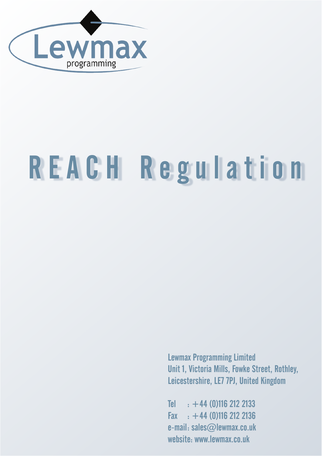

# R E A C H R e g u l a t i o n

Lewmax Programming Limited Unit 1, Victoria Mills, Fowke Street, Rothley, Leicestershire, LE7 7PJ, United Kingdom

Tel : +44 (0)116 212 2133 Fax  $\therefore$  +44 (0)116 212 2136 e-mail: sales@lewmax.co.uk website: www.lewmax.co.uk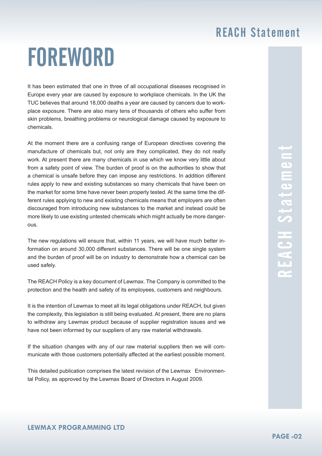## **FOREWORD**

It has been estimated that one in three of all occupational diseases recognised in Europe every year are caused by exposure to workplace chemicals. In the UK the TUC believes that around 18,000 deaths a year are caused by cancers due to workplace exposure. There are also many tens of thousands of others who suffer from skin problems, breathing problems or neurological damage caused by exposure to chemicals.

At the moment there are a confusing range of European directives covering the manufacture of chemicals but, not only are they complicated, they do not really work. At present there are many chemicals in use which we know very little about from a safety point of view. The burden of proof is on the authorities to show that a chemical is unsafe before they can impose any restrictions. In addition different rules apply to new and existing substances so many chemicals that have been on the market for some time have never been properly tested. At the same time the different rules applying to new and existing chemicals means that employers are often discouraged from introducing new substances to the market and instead could be more likely to use existing untested chemicals which might actually be more dangerous.

The new regulations will ensure that, within 11 years, we will have much better information on around 30,000 different substances. There will be one single system and the burden of proof will be on industry to demonstrate how a chemical can be used safely.

The REACH Policy is a key document of Lewmax. The Company is committed to the protection and the health and safety of its employees, customers and neighbours.

It is the intention of Lewmax to meet all its legal obligations under REACH, but given the complexity, this legislation is still being evaluated. At present, there are no plans to withdraw any Lewmax product because of supplier registration issues and we have not been informed by our suppliers of any raw material withdrawals.

If the situation changes with any of our raw material suppliers then we will communicate with those customers potentially affected at the earliest possible moment.

This detailed publication comprises the latest revision of the Lewmax Environmental Policy, as approved by the Lewmax Board of Directors in August 2009.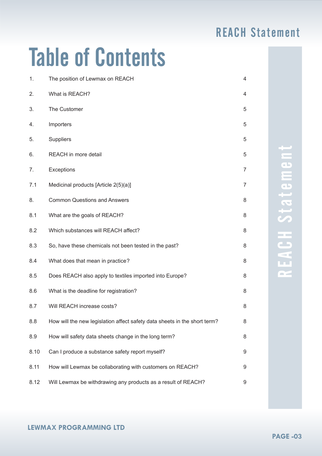## Table of Contents

| 1.   | The position of Lewmax on REACH                                           | 4              |
|------|---------------------------------------------------------------------------|----------------|
| 2.   | What is REACH?                                                            | 4              |
| 3.   | The Customer                                                              | 5              |
| 4.   | Importers                                                                 | 5              |
| 5.   | Suppliers                                                                 | 5              |
| 6.   | REACH in more detail                                                      | 5              |
| 7.   | Exceptions                                                                | 7              |
| 7.1  | Medicinal products [Article 2(5)(a)]                                      | $\overline{7}$ |
| 8.   | <b>Common Questions and Answers</b>                                       | 8              |
| 8.1  | What are the goals of REACH?                                              | 8              |
| 8.2  | Which substances will REACH affect?                                       | 8              |
| 8.3  | So, have these chemicals not been tested in the past?                     | 8              |
| 8.4  | What does that mean in practice?                                          | 8              |
| 8.5  | Does REACH also apply to textiles imported into Europe?                   | 8              |
| 8.6  | What is the deadline for registration?                                    | 8              |
| 8.7  | Will REACH increase costs?                                                | 8              |
| 8.8  | How will the new legislation affect safety data sheets in the short term? | 8              |
| 8.9  | How will safety data sheets change in the long term?                      | 8              |
| 8.10 | Can I produce a substance safety report myself?                           | 9              |
| 8.11 | How will Lewmax be collaborating with customers on REACH?                 | 9              |
| 8.12 | Will Lewmax be withdrawing any products as a result of REACH?             | 9              |

## Statement REACH Statement  $\overline{1}$ É  $\overline{\phantom{a}}$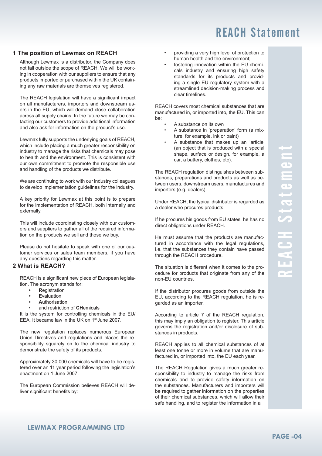#### **1 The position of Lewmax on REACH**

Although Lewmax is a distributor, the Company does not fall outside the scope of REACH. We will be working in cooperation with our suppliers to ensure that any products imported or purchased within the UK containing any raw materials are themselves registered.

The REACH legislation will have a significant impact on all manufacturers, importers and downstream users in the EU, which will demand close collaboration across all supply chains. In the future we may be contacting our customers to provide additional information and also ask for information on the product's use.

Lewmax fully supports the underlying goals of REACH, which include placing a much greater responsibility on industry to manage the risks that chemicals may pose to health and the environment. This is consistent with our own commitment to promote the responsible use and handling of the products we distribute.

We are continuing to work with our industry colleagues to develop implementation guidelines for the industry.

A key priority for Lewmax at this point is to prepare for the implementation of REACH, both internally and externally.

This will include coordinating closely with our customers and suppliers to gather all of the required information on the products we sell and those we buy.

Please do not hesitate to speak with one of our customer services or sales team members, if you have any questions regarding this matter.

#### **2 What is REACH?**

REACH is a significant new piece of European legislation. The acronym stands for:

- **• R**egistration
- **• E**valuation
- **• A**uthorisation
- and restriction of **CH**emicals

It is the system for controlling chemicals in the EU/ EEA. It became law in the UK on 1<sup>st</sup> June 2007.

The new regulation replaces numerous European Union Directives and regulations and places the responsibility squarely on to the chemical industry to demonstrate the safety of its products.

Approximately 30,000 chemicals will have to be registered over an 11 year period following the legislation's enactment on 1 June 2007.

The European Commission believes REACH will deliver significant benefits by:

- providing a very high level of protection to human health and the environment;
- fostering innovation within the EU chemicals industry and ensuring high safety standards for its products and providing a single EU regulatory system with a streamlined decision-making process and clear timelines.

REACH covers most chemical substances that are manufactured in, or imported into, the EU. This can be:

- A substance on its own
- A substance in 'preparation' form (a mixture, for example, ink or paint)
- A substance that makes up an 'article' (an object that is produced with a special shape, surface or design, for example, a car, a battery, clothes, etc).

The REACH regulation distinguishes between substances, preparations and products as well as between users, downstream users, manufactures and importers (e.g. dealers).

Under REACH, the typical distributor is regarded as a dealer who procures products.

If he procures his goods from EU states, he has no direct obligations under REACH.

He must assume that the products are manufactured in accordance with the legal regulations, i.e. that the substances they contain have passed through the REACH procedure.

The situation is different when it comes to the procedure for products that originate from any of the non-EU countries.

If the distributor procures goods from outside the EU, according to the REACH regulation, he is regarded as an importer.

According to article 7 of the REACH regulation, this may imply an obligation to register. This article governs the registration and/or disclosure of substances in products.

REACH applies to all chemical substances of at least one tonne or more in volume that are manufactured in, or imported into, the EU each year.

The REACH Regulation gives a much greater responsibility to industry to manage the risks from chemicals and to provide safety information on the substances. Manufacturers and importers will be required to gather information on the properties of their chemical substances, which will allow their safe handling, and to register the information in a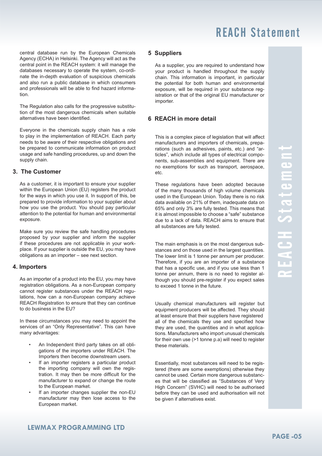central database run by the European Chemicals Agency (ECHA) in Helsinki. The Agency will act as the central point in the REACH system: it will manage the databases necessary to operate the system, co-ordinate the in-depth evaluation of suspicious chemicals and also run a public database in which consumers and professionals will be able to find hazard information.

The Regulation also calls for the progressive substitution of the most dangerous chemicals when suitable alternatives have been identified.

Everyone in the chemicals supply chain has a role to play in the implementation of REACH. Each party needs to be aware of their respective obligations and be prepared to communicate information on product usage and safe handling procedures, up and down the supply chain.

#### **3. The Customer**

As a customer, it is important to ensure your supplier within the European Union (EU) registers the product for the ways in which you use it. In support of this, be prepared to provide information to your supplier about how you use the product. You should pay particular attention to the potential for human and environmental exposure.

Make sure you review the safe handling procedures proposed by your supplier and inform the supplier if these procedures are not applicable in your workplace. If your supplier is outside the EU, you may have obligations as an importer – see next section.

#### **4. Importers**

As an importer of a product into the EU, you may have registration obligations. As a non-European company cannot register substances under the REACH regulations, how can a non-European company achieve REACH Registration to ensure that they can continue to do business in the EU?

In these circumstances you may need to appoint the services of an "Only Representative". This can have many advantages:

- An Independent third party takes on all obligations of the importers under REACH. The Importers then become downstream users.
- If an importer registers a particular product the importing company will own the registration. It may then be more difficult for the manufacturer to expand or change the route to the European market.
- If an importer changes supplier the non-EU manufacturer may then lose access to the European market.

#### **5 Suppliers**

As a supplier, you are required to understand how your product is handled throughout the supply chain. This information is important, in particular the potential for both human and environmental exposure, will be required in your substance registration or that of the original EU manufacturer or importer.

#### **6 REACH in more detail**

This is a complex piece of legislation that will affect manufacturers and importers of chemicals, preparations (such as adhesives, paints, etc.) and "articles", which include all types of electrical components, sub-assemblies and equipment. There are no exemptions for such as transport, aerospace, etc.

These regulations have been adopted because of the many thousands of high volume chemicals used in the European Union. Today there is no risk data available on 21% of them, inadequate data on 65% and only 3% are fully tested. This means that it is almost impossible to choose a "safe" substance due to a lack of data. REACH aims to ensure that all substances are fully tested.

The main emphasis is on the most dangerous substances and on those used in the largest quantities. The lower limit is 1 tonne per annum per producer. Therefore, if you are an importer of a substance that has a specific use, and if you use less than 1 tonne per annum, there is no need to register although you should pre-register if you expect sales to exceed 1 tonne in the future.

Usually chemical manufacturers will register but equipment producers will be affected. They should at least ensure that their suppliers have registered all of the chemicals they use and specified how they are used, the quantities and in what applications. Manufacturers who import unusual chemicals for their own use (>1 tonne p.a) will need to register these materials.

Essentially, most substances will need to be registered (there are some exemptions) otherwise they cannot be used. Certain more dangerous substances that will be classified as "Substances of Very High Concern" (SVHC) will need to be authorised before they can be used and authorisation will not be given if alternatives exist.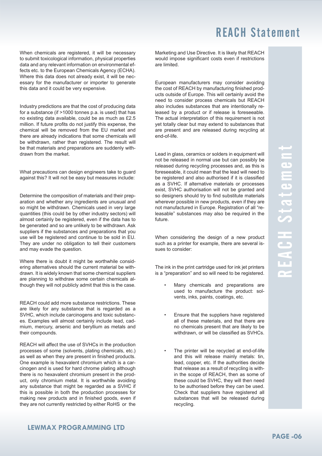When chemicals are registered, it will be necessary to submit toxicological information, physical properties data and any relevant information on environmental effects etc. to the European Chemicals Agency (ECHA). Where this data does not already exist, it will be necessary for the manufacturer or importer to generate this data and it could be very expensive.

Industry predictions are that the cost of producing data for a substance (if >1000 tonnes p.a. is used) that has no existing data available, could be as much as £2.5 million. If future profits do not justify this expense, the chemical will be removed from the EU market and there are already indications that some chemicals will be withdrawn, rather than registered. The result will be that materials and preparations are suddenly withdrawn from the market.

What precautions can design engineers take to guard against this? It will not be easy but measures include:

Determine the composition of materials and their preparation and whether any ingredients are unusual and so might be withdrawn. Chemicals used in very large quantities (this could be by other industry sectors) will almost certainly be registered, even if the data has to be generated and so are unlikely to be withdrawn. Ask suppliers if the substances and preparations that you use will be registered and continue to be sold in EU. They are under no obligation to tell their customers and may evade the question.

Where there is doubt it might be worthwhile considering alternatives should the current material be withdrawn. It is widely known that some chemical suppliers are planning to withdraw some certain chemicals although they will not publicly admit that this is the case.

REACH could add more substance restrictions. These are likely for any substance that is regarded as a SVHC, which include carcinogens and toxic substances. Examples will almost certainly include lead, cadmium, mercury, arsenic and beryllium as metals and their compounds.

REACH will affect the use of SVHCs in the production processes of some (solvents, plating chemicals, etc.) as well as when they are present in finished products. One example is hexavalent chromium which is a carcinogen and is used for hard chrome plating although there is no hexavalent chromium present in the product, only chromium metal. It is worthwhile avoiding any substance that might be regarded as a SVHC if this is possible in both the production processes for making new products and in finished goods, even if they are not currently restricted by either RoHS or the

Marketing and Use Directive. It is likely that REACH would impose significant costs even if restrictions are limited.

European manufacturers may consider avoiding the cost of REACH by manufacturing finished products outside of Europe. This will certainly avoid the need to consider process chemicals but REACH also includes substances that are intentionally released by a product or if release is foreseeable. The actual interpretation of this requirement is not yet totally clear but may extend to substances that are present and are released during recycling at end-of-life.

Lead in glass, ceramics or solders in equipment will not be released in normal use but can possibly be released during recycling processes and, as this is foreseeable, it could mean that the lead will need to be registered and also authorised if it is classified as a SVHC. If alternative materials or processes exist, SVHC authorisation will not be granted and so designers should try to find substitute materials wherever possible in new products, even if they are not manufactured in Europe. Registration of all "releasable" substances may also be required in the future.

When considering the design of a new product such as a printer for example, there are several issues to consider:

The ink in the print cartridge used for ink jet printers is a "preparation" and so will need to be registered.

- Many chemicals and preparations are used to manufacture the product: solvents, inks, paints, coatings, etc.
- Ensure that the suppliers have registered all of these materials, and that there are no chemicals present that are likely to be withdrawn, or will be classified as SVHCs.
- The printer will be recycled at end-of-life and this will release mainly metals: tin, lead, copper, etc. If the authorities decide that release as a result of recycling is within the scope of REACH, then as some of these could be SVHC, they will then need to be authorised before they can be used. Check that suppliers have registered all substances that will be released during recycling.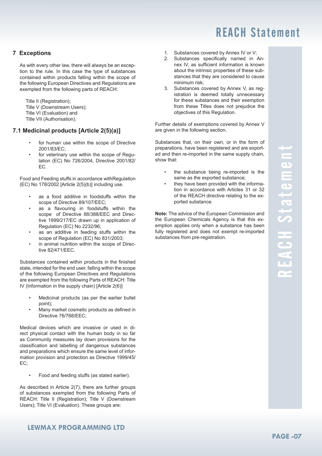#### **7 Exceptions**

As with every other law, there will always be an exception to the rule. In this case the type of substances contained within products falling within the scope of the following European Directives and Regulations are exempted from the following parts of REACH:

Title II (Registration); Title V (Downstream Users); Title VI (Evaluation) and Title VII (Authorisation).

#### **7.1 Medicinal products [Article 2(5)(a)]**

- for human use within the scope of Directive 2001/83/EC;
- for veterinary use within the scope of Regulation (EC) No 726/2004, Directive 2001/82/ EC.

Food and Feeding stuffs in accordance withRegulation (EC) No 178/2002 [Article 2(5)(b)] including use.

- as a food additive in foodstuffs within the scope of Directive 89/107/EEC:
- as a flavouring in foodstuffs within the scope of Directive 88/388/EEC and Directive 1999/217/EC drawn up in application of Regulation (EC) No 2232/96;
- as an additive in feeding stuffs within the scope of Regulation (EC) No 831/2003;
- in animal nutrition within the scope of Directive 82/471/EEC.

Substances contained within products in the finished state, intended for the end user, falling within the scope of the following European Directives and Regulations are exempted from the following Parts of REACH: Title IV (Information in the supply chain) [Article 2(6)]

- Medicinal products (as per the earlier bullet point);
- Many market cosmetic products as defined in Directive 76/768/EEC;

Medical devices which are invasive or used in direct physical contact with the human body in so far as Community measures lay down provisions for the classification and labelling of dangerous substances and preparations which ensure the same level of information provision and protection as Directive 1999/45/ EC;

Food and feeding stuffs (as stated earlier).

As described in Article 2(7), there are further groups of substances exempted from the following Parts of REACH: Title II (Registration); Title V (Downstream Users); Title VI (Evaluation). These groups are:

- 1. Substances covered by Annex IV or V;
- 2. Substances specifically named in Annex IV, as sufficient information is known about the intrinsic properties of these substances that they are considered to cause minimum risk;
- 3. Substances covered by Annex V, as registration is deemed totally unnecessary for these substances and their exemption from these Titles does not prejudice the objectives of this Regulation.

Further details of exemptions covered by Annex V are given in the following section.

Substances that, on their own, or in the form of preparations, have been registered and are exported and then re-imported in the same supply chain, show that:

- the substance being re-imported is the same as the exported substance;
- they have been provided with the information in accordance with Articles 31 or 32 of the REACH directive relating to the exported substance.

**Note:** The advice of the European Commission and the European Chemicals Agency is that this exemption applies only when a substance has been fully registered and does not exempt re-imported substances from pre-registration.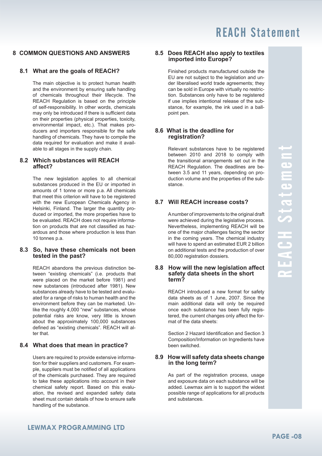#### **8 COMMON QUESTIONS AND ANSWERS**

#### **8.1 What are the goals of REACH?**

The main objective is to protect human health and the environment by ensuring safe handling of chemicals throughout their lifecycle. The REACH Regulation is based on the principle of self-responsibility. In other words, chemicals may only be introduced if there is sufficient data on their properties (physical properties, toxicity, environmental impact, etc.). That makes producers and importers responsible for the safe handling of chemicals. They have to compile the data required for evaluation and make it available to all stages in the supply chain.

#### **8.2 Which substances will REACH affect?**

The new legislation applies to all chemical substances produced in the EU or imported in amounts of 1 tonne or more p.a. All chemicals that meet this criterion will have to be registered with the new European Chemicals Agency in Helsinki, Finland. The larger the quantity produced or imported, the more properties have to be evaluated. REACH does not require information on products that are not classified as hazardous and those where production is less than 10 tonnes p.a.

#### **8.3 So, have these chemicals not been tested in the past?**

REACH abandons the previous distinction between "existing chemicals" (i.e. products that were placed on the market before 1981) and new substances (introduced after 1981). New substances already have to be tested and evaluated for a range of risks to human health and the environment before they can be marketed. Unlike the roughly 4,000 "new" substances, whose potential risks are know, very little is known about the approximately 100,000 substances defined as "existing chemicals". REACH will alter that.

#### **8.4 What does that mean in practice?**

Users are required to provide extensive information for their suppliers and customers. For example, suppliers must be notified of all applications of the chemicals purchased. They are required to take these applications into account in their chemical safety report. Based on this evaluation, the revised and expanded safety data sheet must contain details of how to ensure safe handling of the substance.

#### **8.5 Does REACH also apply to textiles imported into Europe?**

Finished products manufactured outside the EU are not subject to the legislation and under liberalised world trade agreements; they can be sold in Europe with virtually no restriction. Substances only have to be registered if use implies intentional release of the substance, for example, the ink used in a ballpoint pen.

#### **8.6 What is the deadline for registration?**

Relevant substances have to be registered between 2010 and 2018 to comply with the transitional arrangements set out in the REACH Regulation. The deadlines are between 3.5 and 11 years, depending on production volume and the properties of the substance.

#### **8.7 Will REACH increase costs?**

A number of improvements to the original draft were achieved during the legislative process. Nevertheless, implementing REACH will be one of the major challenges facing the sector in the coming years. The chemical industry will have to spend an estimated EUR 2 billion on additional tests and the production of over 80,000 registration dossiers.

#### **8.8 How will the new legislation affect safety data sheets in the short term?**

REACH introduced a new format for safety data sheets as of 1 June, 2007. Since the main additional data will only be required once each substance has been fully registered, the current changes only affect the format of the data sheets:

Section 2 Hazard Identification and Section 3 Composition/Information on Ingredients have been switched.

#### **8.9 How will safety data sheets change in the long term?**

As part of the registration process, usage and exposure data on each substance will be added. Lewmax aim is to support the widest possible range of applications for all products and substances.